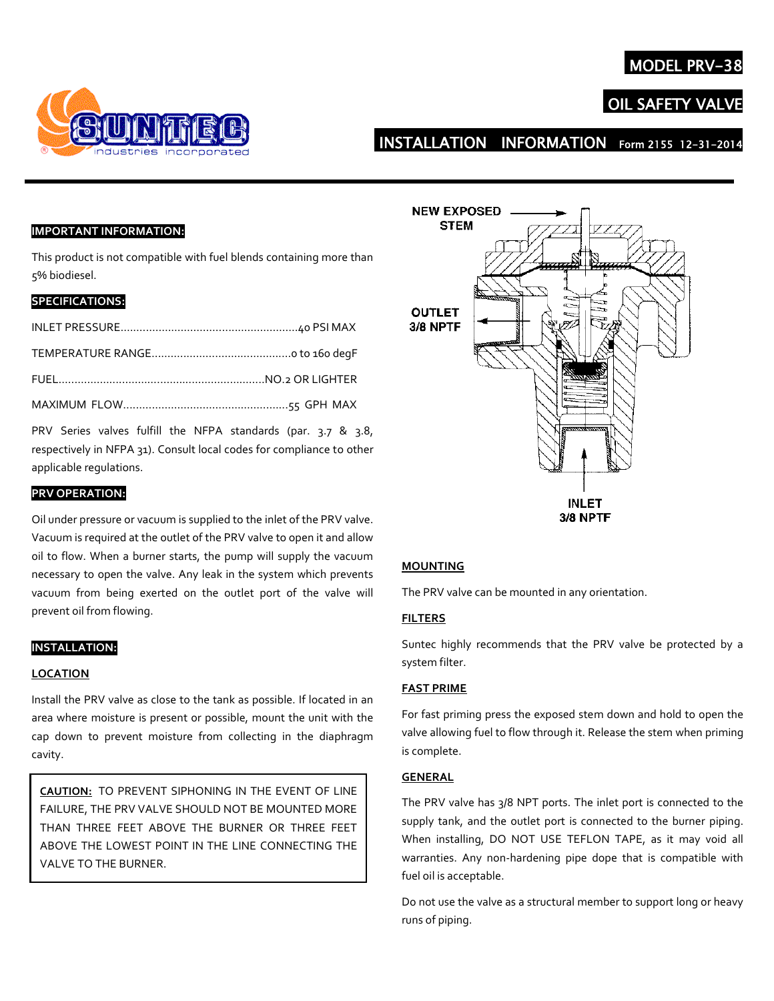## **MODEL PRV**



# **OIL SAFETY VAL**

# INSTALLATION INFORMATION Form 2155 12-31-201

## **IMPORTANT INFORMATION:**

This product is not compatible with fuel blends containing more than 5% biodiesel.

## **SPECIFICATIONS:**

PRV Series valves fulfill the NFPA standards (par. 3.7 & 3.8, respectively in NFPA 31). Consult local codes for compliance to other applicable regulations.

## **PRV OPERATION:**

Oil under pressure or vacuum is supplied to the inlet of the PRV valve. Vacuum is required at the outlet of the PRV valve to open it and allow oil to flow. When a burner starts, the pump will supply the vacuum necessary to open the valve. Any leak in the system which prevents vacuum from being exerted on the outlet port of the valve will prevent oil from flowing.

## **INSTALLATION:**

#### **LOCATION**

Install the PRV valve as close to the tank as possible. If located in an area where moisture is present or possible, mount the unit with the cap down to prevent moisture from collecting in the diaphragm cavity.

**CAUTION:** TO PREVENT SIPHONING IN THE EVENT OF LINE FAILURE, THE PRV VALVE SHOULD NOT BE MOUNTED MORE THAN THREE FEET ABOVE THE BURNER OR THREE FEET ABOVE THE LOWEST POINT IN THE LINE CONNECTING THE VALVE TO THE BURNER.



#### **MOUNTING**

The PRV valve can be mounted in any orientation.

## **FILTERS**

Suntec highly recommends that the PRV valve be protected by a system filter.

### **FAST PRIME**

For fast priming press the exposed stem down and hold to open the valve allowing fuel to flow through it. Release the stem when priming is complete.

## **GENERAL**

The PRV valve has 3/8 NPT ports. The inlet port is connected to the supply tank, and the outlet port is connected to the burner piping. When installing, DO NOT USE TEFLON TAPE, as it may void all warranties. Any non-hardening pipe dope that is compatible with fuel oil is acceptable.

Do not use the valve as a structural member to support long or heavy runs of piping.